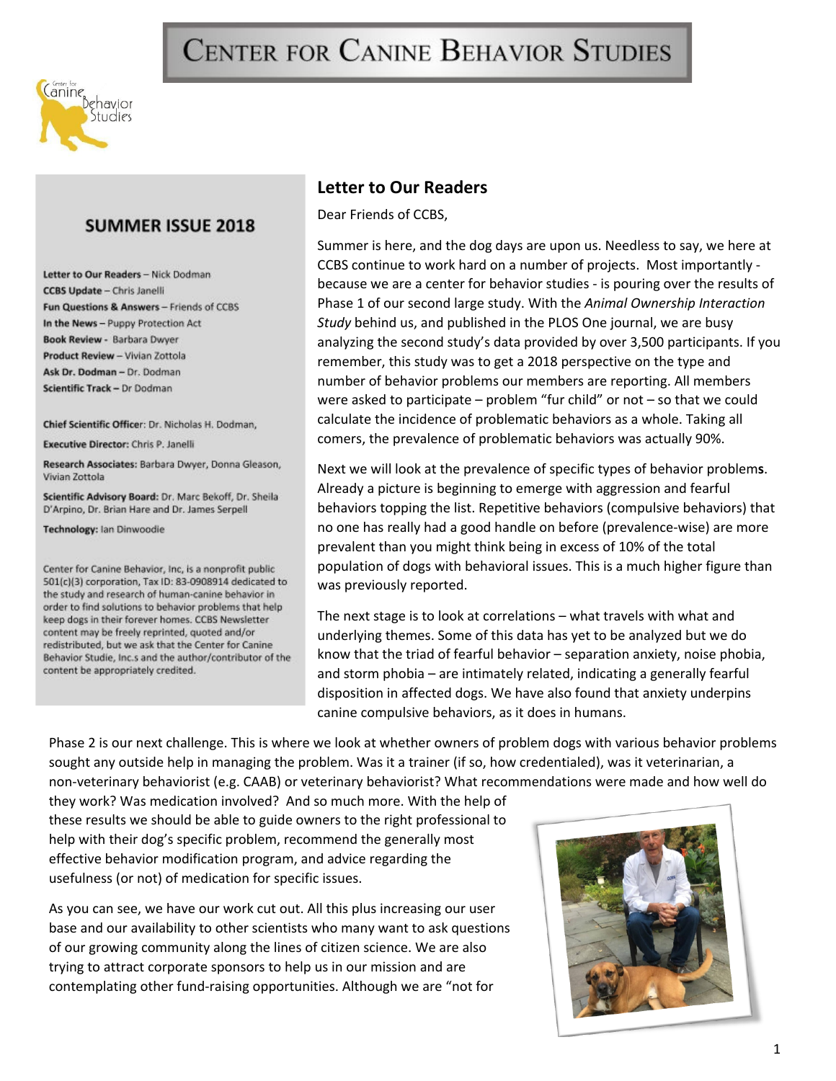

### **SUMMER ISSUE 2018**

Letter to Our Readers - Nick Dodman **CCBS Update - Chris Janelli** Fun Questions & Answers - Friends of CCBS In the News - Puppy Protection Act Book Review - Barbara Dwyer Product Review - Vivian Zottola Ask Dr. Dodman - Dr. Dodman Scientific Track - Dr Dodman

Chief Scientific Officer: Dr. Nicholas H. Dodman,

Executive Director: Chris P. Janelli

Research Associates: Barbara Dwyer, Donna Gleason, Vivian Zottola

Scientific Advisory Board: Dr. Marc Bekoff, Dr. Sheila D'Arpino, Dr. Brian Hare and Dr. James Serpell

Technology: Ian Dinwoodie

Center for Canine Behavior, Inc, is a nonprofit public 501(c)(3) corporation, Tax ID: 83-0908914 dedicated to the study and research of human-canine behavior in order to find solutions to behavior problems that help keep dogs in their forever homes. CCBS Newsletter content may be freely reprinted, quoted and/or redistributed, but we ask that the Center for Canine Behavior Studie, Inc.s and the author/contributor of the content be appropriately credited.

### **Letter to Our Readers**

Dear Friends of CCBS,

Summer is here, and the dog days are upon us. Needless to say, we here at CCBS continue to work hard on a number of projects. Most importantly because we are a center for behavior studies - is pouring over the results of Phase 1 of our second large study. With the *Animal Ownership Interaction Study* behind us, and published in the PLOS One journal, we are busy analyzing the second study's data provided by over 3,500 participants. If you remember, this study was to get a 2018 perspective on the type and number of behavior problems our members are reporting. All members were asked to participate – problem "fur child" or not – so that we could calculate the incidence of problematic behaviors as a whole. Taking all comers, the prevalence of problematic behaviors was actually 90%.

Next we will look at the prevalence of specific types of behavior problem**s**. Already a picture is beginning to emerge with aggression and fearful behaviors topping the list. Repetitive behaviors (compulsive behaviors) that no one has really had a good handle on before (prevalence-wise) are more prevalent than you might think being in excess of 10% of the total population of dogs with behavioral issues. This is a much higher figure than was previously reported.

The next stage is to look at correlations – what travels with what and underlying themes. Some of this data has yet to be analyzed but we do know that the triad of fearful behavior – separation anxiety, noise phobia, and storm phobia – are intimately related, indicating a generally fearful disposition in affected dogs. We have also found that anxiety underpins canine compulsive behaviors, as it does in humans.

Phase 2 is our next challenge. This is where we look at whether owners of problem dogs with various behavior problems sought any outside help in managing the problem. Was it a trainer (if so, how credentialed), was it veterinarian, a non-veterinary behaviorist (e.g. CAAB) or veterinary behaviorist? What recommendations were made and how well do

they work? Was medication involved? And so much more. With the help of these results we should be able to guide owners to the right professional to help with their dog's specific problem, recommend the generally most effective behavior modification program, and advice regarding the usefulness (or not) of medication for specific issues.

As you can see, we have our work cut out. All this plus increasing our user base and our availability to other scientists who many want to ask questions of our growing community along the lines of citizen science. We are also trying to attract corporate sponsors to help us in our mission and are contemplating other fund-raising opportunities. Although we are "not for

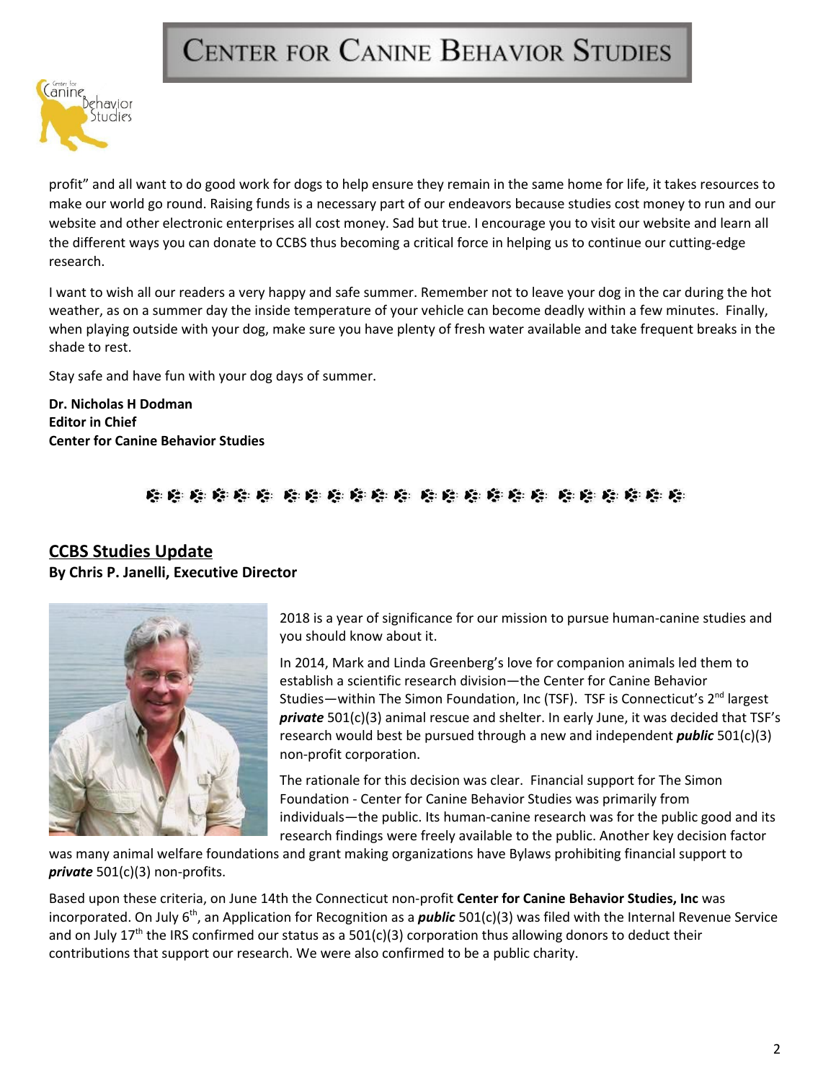

profit" and all want to do good work for dogs to help ensure they remain in the same home for life, it takes resources to make our world go round. Raising funds is a necessary part of our endeavors because studies cost money to run and our website and other electronic enterprises all cost money. Sad but true. I encourage you to visit our website and learn all the different ways you can donate to CCBS thus becoming a critical force in helping us to continue our cutting-edge research.

I want to wish all our readers a very happy and safe summer. Remember not to leave your dog in the car during the hot weather, as on a summer day the inside temperature of your vehicle can become deadly within a few minutes. Finally, when playing outside with your dog, make sure you have plenty of fresh water available and take frequent breaks in the shade to rest.

Stay safe and have fun with your dog days of summer.

**Dr. Nicholas H Dodman Editor in Chief Center for Canine Behavior Studies**

### 经经验检验检 经经验检验税 经现金 经股票 法法院的经

#### **CCBS Studies Update By Chris P. Janelli, Executive Director**



2018 is a year of significance for our mission to pursue human-canine studies and you should know about it.

In 2014, Mark and Linda Greenberg's love for companion animals led them to establish a scientific research division—the Center for Canine Behavior Studies—within The Simon Foundation, Inc (TSF). TSF is Connecticut's 2<sup>nd</sup> largest *private* 501(c)(3) animal rescue and shelter. In early June, it was decided that TSF's research would best be pursued through a new and independent *public* 501(c)(3) non-profit corporation.

The rationale for this decision was clear. Financial support for The Simon Foundation - Center for Canine Behavior Studies was primarily from individuals—the public. Its human-canine research was for the public good and its research findings were freely available to the public. Another key decision factor

was many animal welfare foundations and grant making organizations have Bylaws prohibiting financial support to *private* 501(c)(3) non-profits.

Based upon these criteria, on June 14th the Connecticut non-profit **Center for Canine Behavior Studies, Inc** was incorporated. On July 6<sup>th</sup>, an Application for Recognition as a *public* 501(c)(3) was filed with the Internal Revenue Service and on July 17<sup>th</sup> the IRS confirmed our status as a 501(c)(3) corporation thus allowing donors to deduct their contributions that support our research. We were also confirmed to be a public charity.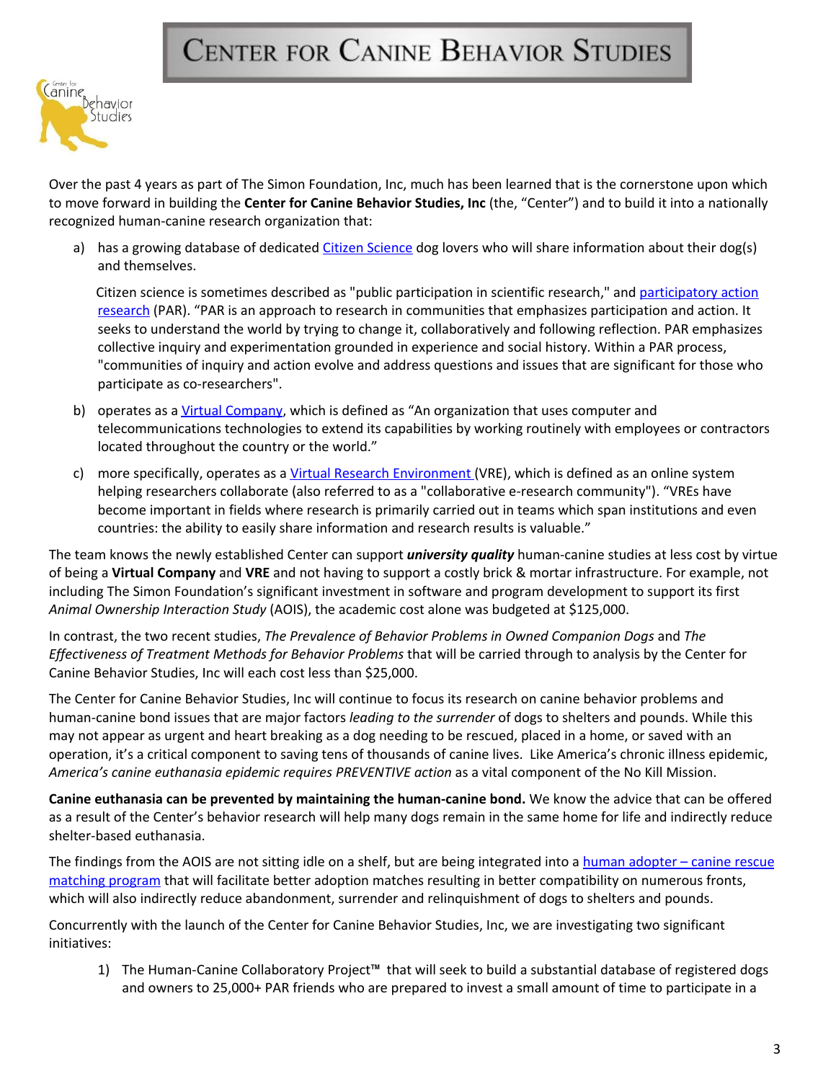

Over the past 4 years as part of The Simon Foundation, Inc, much has been learned that is the cornerstone upon which to move forward in building the **Center for Canine Behavior Studies, Inc** (the, "Center") and to build it into a nationally recognized human-canine research organization that:

a) has a growing database of dedicated Citizen [Science](https://en.wikipedia.org/wiki/Citizen_science) dog lovers who will share information about their dog(s) and themselves.

Citizen science is sometimes described as "public participation in scientific research," and [participatory](https://en.wikipedia.org/wiki/Participatory_action_research) action [research](https://en.wikipedia.org/wiki/Participatory_action_research) (PAR). "PAR is an approach to research in communities that emphasizes participation and action. It seeks to understand the world by trying to change it, collaboratively and following reflection. PAR emphasizes collective inquiry and experimentation grounded in experience and social history. Within a PAR process, "communities of inquiry and action evolve and address questions and issues that are significant for those who participate as co-researchers".

- b) operates as a Virtual [Company](https://www.pcmag.com/encyclopedia/term/53904/virtual-company), which is defined as "An organization that uses computer and telecommunications technologies to extend its capabilities by working routinely with employees or contractors located throughout the country or the world."
- c) more specifically, operates as a Virtual Research [Environment](https://en.wikipedia.org/wiki/Virtual_research_environment) (VRE), which is defined as an online system helping researchers collaborate (also referred to as a "collaborative e-research community"). "VREs have become important in fields where research is primarily carried out in teams which span institutions and even countries: the ability to easily share information and research results is valuable."

The team knows the newly established Center can support *university quality* human-canine studies at less cost by virtue of being a **Virtual Company** and **VRE** and not having to support a costly brick & mortar infrastructure. For example, not including The Simon Foundation's significant investment in software and program development to support its first *Animal Ownership Interaction Study* (AOIS), the academic cost alone was budgeted at \$125,000.

In contrast, the two recent studies, *The Prevalence of Behavior Problems in Owned Companion Dogs* and *The Effectiveness of Treatment Methods for Behavior Problems* that will be carried through to analysis by the Center for Canine Behavior Studies, Inc will each cost less than \$25,000.

The Center for Canine Behavior Studies, Inc will continue to focus its research on canine behavior problems and human-canine bond issues that are major factors *leading to the surrender* of dogs to shelters and pounds. While this may not appear as urgent and heart breaking as a dog needing to be rescued, placed in a home, or saved with an operation, it's a critical component to saving tens of thousands of canine lives. Like America's chronic illness epidemic, *America's canine euthanasia epidemic requires PREVENTIVE action* as a vital component of the No Kill Mission.

**Canine euthanasia can be prevented by maintaining the human-canine bond.** We know the advice that can be offered as a result of the Center's behavior research will help many dogs remain in the same home for life and indirectly reduce shelter-based euthanasia.

The findings from the AOIS are not sitting idle on a shelf, but are being integrated into a human [adopter](https://www.howimetmydog.com/register) – canine rescue [matching](https://www.howimetmydog.com/register) program that will facilitate better adoption matches resulting in better compatibility on numerous fronts, which will also indirectly reduce abandonment, surrender and relinquishment of dogs to shelters and pounds.

Concurrently with the launch of the Center for Canine Behavior Studies, Inc, we are investigating two significant initiatives:

1) The Human-Canine Collaboratory Project™ that will seek to build a substantial database of registered dogs and owners to 25,000+ PAR friends who are prepared to invest a small amount of time to participate in a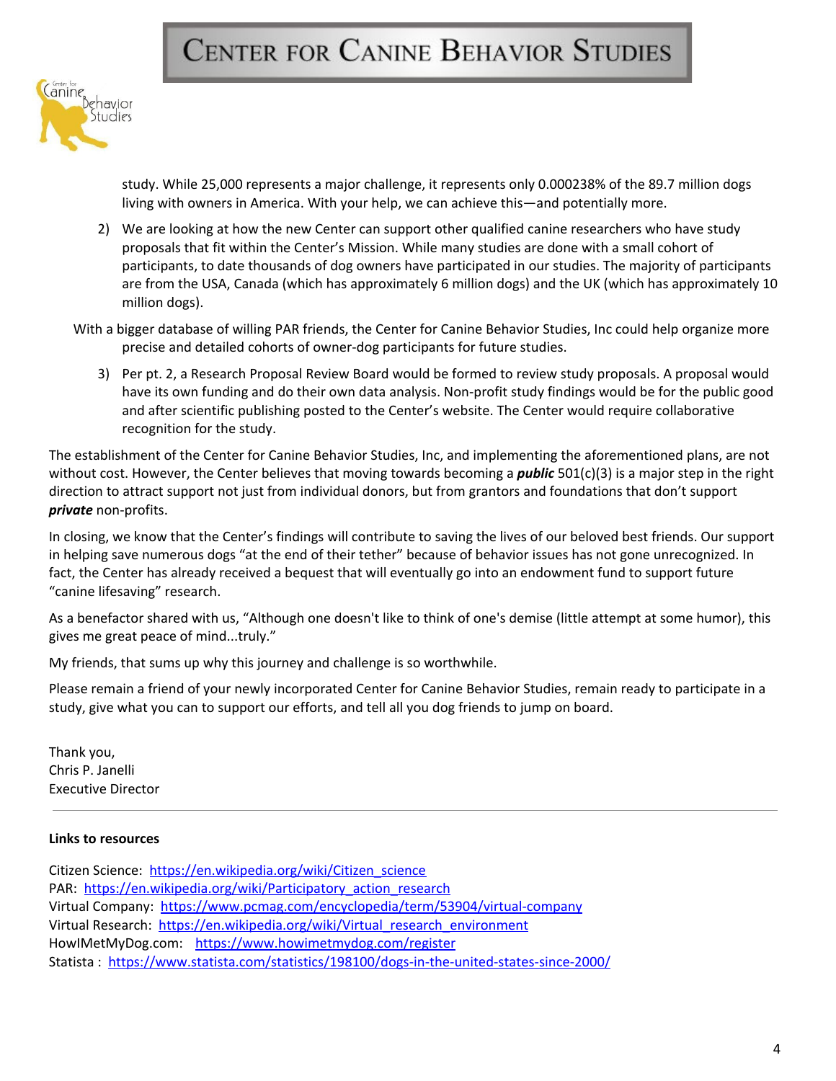

study. While 25,000 represents a major challenge, it represents only 0.000238% of the 89.7 million dogs living with owners in America. With your help, we can achieve this—and potentially more.

- 2) We are looking at how the new Center can support other qualified canine researchers who have study proposals that fit within the Center's Mission. While many studies are done with a small cohort of participants, to date thousands of dog owners have participated in our studies. The majority of participants are from the USA, Canada (which has approximately 6 million dogs) and the UK (which has approximately 10 million dogs).
- With a bigger database of willing PAR friends, the Center for Canine Behavior Studies, Inc could help organize more precise and detailed cohorts of owner-dog participants for future studies.
	- 3) Per pt. 2, a Research Proposal Review Board would be formed to review study proposals. A proposal would have its own funding and do their own data analysis. Non-profit study findings would be for the public good and after scientific publishing posted to the Center's website. The Center would require collaborative recognition for the study.

The establishment of the Center for Canine Behavior Studies, Inc, and implementing the aforementioned plans, are not without cost. However, the Center believes that moving towards becoming a *public* 501(c)(3) is a major step in the right direction to attract support not just from individual donors, but from grantors and foundations that don't support *private* non-profits.

In closing, we know that the Center's findings will contribute to saving the lives of our beloved best friends. Our support in helping save numerous dogs "at the end of their tether" because of behavior issues has not gone unrecognized. In fact, the Center has already received a bequest that will eventually go into an endowment fund to support future "canine lifesaving" research.

As a benefactor shared with us, "Although one doesn't like to think of one's demise (little attempt at some humor), this gives me great peace of mind...truly."

My friends, that sums up why this journey and challenge is so worthwhile.

Please remain a friend of your newly incorporated Center for Canine Behavior Studies, remain ready to participate in a study, give what you can to support our efforts, and tell all you dog friends to jump on board.

Thank you, Chris P. Janelli Executive Director

#### **Links to resources**

Citizen Science: [https://en.wikipedia.org/wiki/Citizen\\_science](https://en.wikipedia.org/wiki/Citizen_science) PAR: [https://en.wikipedia.org/wiki/Participatory\\_action\\_research](https://en.wikipedia.org/wiki/Participatory_action_research) Virtual Company: <https://www.pcmag.com/encyclopedia/term/53904/virtual-company> Virtual Research: [https://en.wikipedia.org/wiki/Virtual\\_research\\_environment](https://en.wikipedia.org/wiki/Virtual_research_environment) HowIMetMyDog.com: <https://www.howimetmydog.com/register> Statista : <https://www.statista.com/statistics/198100/dogs-in-the-united-states-since-2000/>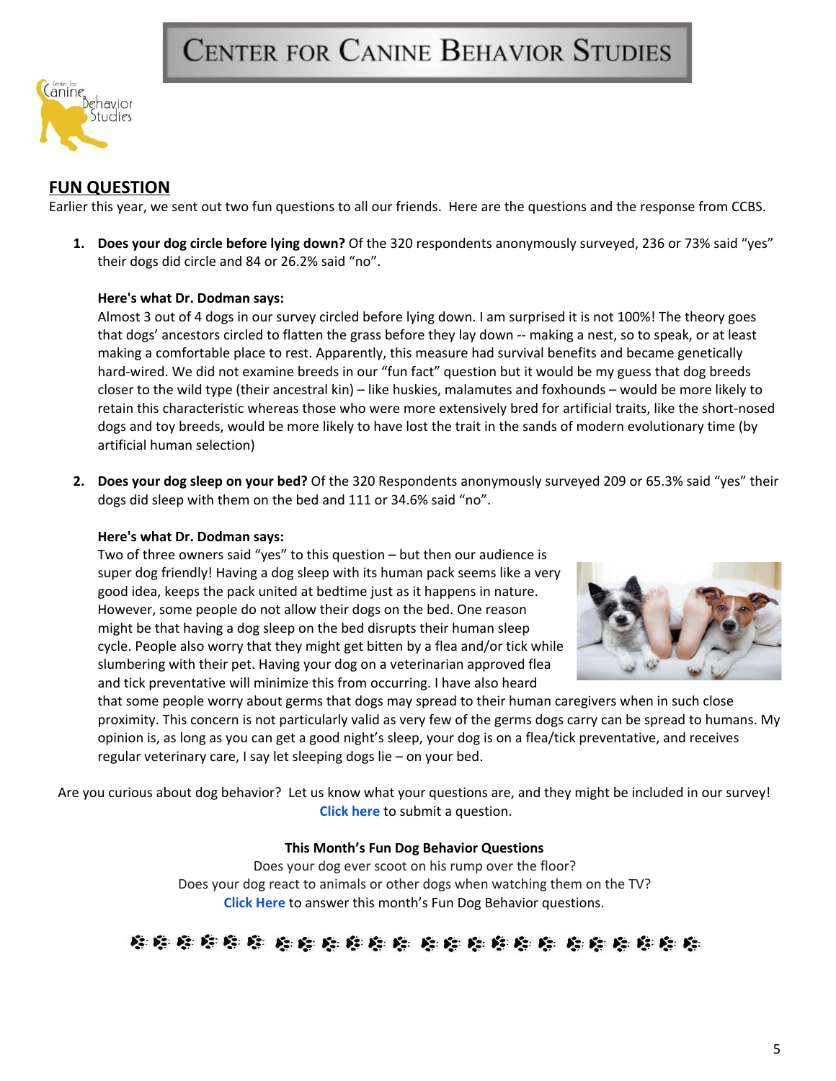

### **FUN QUESTION**

Earlier this year, we sent out two fun questions to all our friends. Here are the questions and the response from CCBS.

**1. Does your dog circle before lying down?** Of the 320 respondents anonymously surveyed, 236 or 73% said "yes" their dogs did circle and 84 or 26.2% said "no".

#### **Here's what Dr. Dodman says:**

Almost 3 out of 4 dogs in our survey circled before lying down. I am surprised it is not 100%! The theory goes that dogs' ancestors circled to flatten the grass before they lay down -- making a nest, so to speak, or at least making a comfortable place to rest. Apparently, this measure had survival benefits and became genetically hard-wired. We did not examine breeds in our "fun fact" question but it would be my guess that dog breeds closer to the wild type (their ancestral kin) – like huskies, malamutes and foxhounds – would be more likely to retain this characteristic whereas those who were more extensively bred for artificial traits, like the short-nosed dogs and toy breeds, would be more likely to have lost the trait in the sands of modern evolutionary time (by artificial human selection)

**2. Does your dog sleep on your bed?** Of the 320 Respondents anonymously surveyed 209 or 65.3% said "yes" their dogs did sleep with them on the bed and 111 or 34.6% said "no".

#### **Here's what Dr. Dodman says:**



Two of three owners said "yes" to this question – but then our audience is super dog friendly! Having a dog sleep with its human pack seems like a very good idea, keeps the pack united at bedtime just as it happens in nature. However, some people do not allow their dogs on the bed. One reason might be that having a dog sleep on the bed disrupts their human sleep cycle. People also worry that they might get bitten by a flea and/or tick while slumbering with their pet. Having your dog on a veterinarian approved flea and tick preventative will minimize this from occurring. I have also heard

that some people worry about germs that dogs may spread to their human caregivers when in such close proximity. This concern is not particularly valid as very few of the germs dogs carry can be spread to humans. My opinion is, as long as you can get a good night's sleep, your dog is on a flea/tick preventative, and receives regular veterinary care, I say let sleeping dogs lie – on your bed.

Are you curious about dog behavior? Let us know what your questions are, and they might be included in our survey! **Click here** to submit a question.

#### **This Month's Fun Dog Behavior Questions**

Does your dog ever scoot on his rump over the floor? Does your dog react to animals or other dogs when watching them on the TV? **Click Here** to answer this month's Fun Dog Behavior questions.

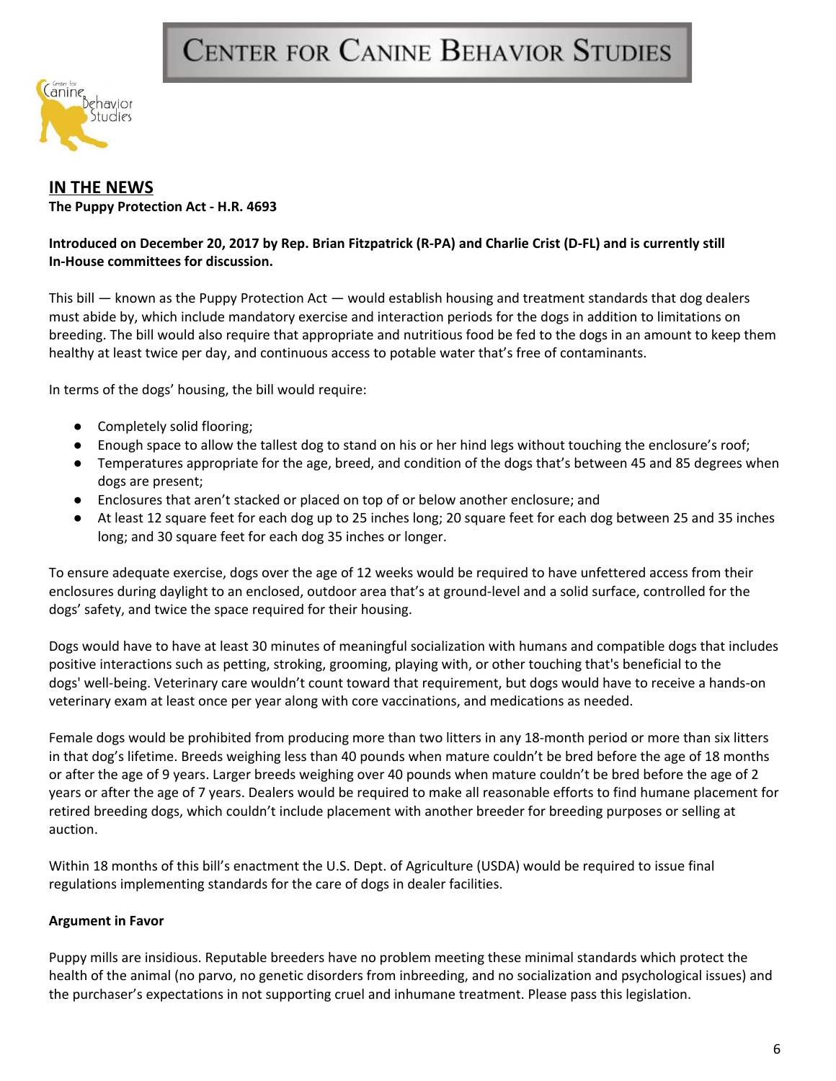

### **IN THE NEWS The Puppy Protection Act - H.R. 4693**

#### Introduced on December 20, 2017 by Rep. Brian Fitzpatrick (R-PA) and Charlie Crist (D-FL) and is currently still **In-House committees for discussion.**

This bill — known as the Puppy Protection Act — would establish housing and treatment standards that dog dealers must abide by, which include mandatory exercise and interaction periods for the dogs in addition to limitations on breeding. The bill would also require that appropriate and nutritious food be fed to the dogs in an amount to keep them healthy at least twice per day, and continuous access to potable water that's free of contaminants.

In terms of the dogs' housing, the bill would require:

- Completely solid flooring;
- Enough space to allow the tallest dog to stand on his or her hind legs without touching the enclosure's roof;
- Temperatures appropriate for the age, breed, and condition of the dogs that's between 45 and 85 degrees when dogs are present;
- Enclosures that aren't stacked or placed on top of or below another enclosure; and
- At least 12 square feet for each dog up to 25 inches long; 20 square feet for each dog between 25 and 35 inches long; and 30 square feet for each dog 35 inches or longer.

To ensure adequate exercise, dogs over the age of 12 weeks would be required to have unfettered access from their enclosures during daylight to an enclosed, outdoor area that's at ground-level and a solid surface, controlled for the dogs' safety, and twice the space required for their housing.

Dogs would have to have at least 30 minutes of meaningful socialization with humans and compatible dogs that includes positive interactions such as petting, stroking, grooming, playing with, or other touching that's beneficial to the dogs' well-being. Veterinary care wouldn't count toward that requirement, but dogs would have to receive a hands-on veterinary exam at least once per year along with core vaccinations, and medications as needed.

Female dogs would be prohibited from producing more than two litters in any 18-month period or more than six litters in that dog's lifetime. Breeds weighing less than 40 pounds when mature couldn't be bred before the age of 18 months or after the age of 9 years. Larger breeds weighing over 40 pounds when mature couldn't be bred before the age of 2 years or after the age of 7 years. Dealers would be required to make all reasonable efforts to find humane placement for retired breeding dogs, which couldn't include placement with another breeder for breeding purposes or selling at auction.

Within 18 months of this bill's enactment the U.S. Dept. of Agriculture (USDA) would be required to issue final regulations implementing standards for the care of dogs in dealer facilities.

### **Argument in Favor**

Puppy mills are insidious. Reputable breeders have no problem meeting these minimal standards which protect the health of the animal (no parvo, no genetic disorders from inbreeding, and no socialization and psychological issues) and the purchaser's expectations in not supporting cruel and inhumane treatment. Please pass this legislation.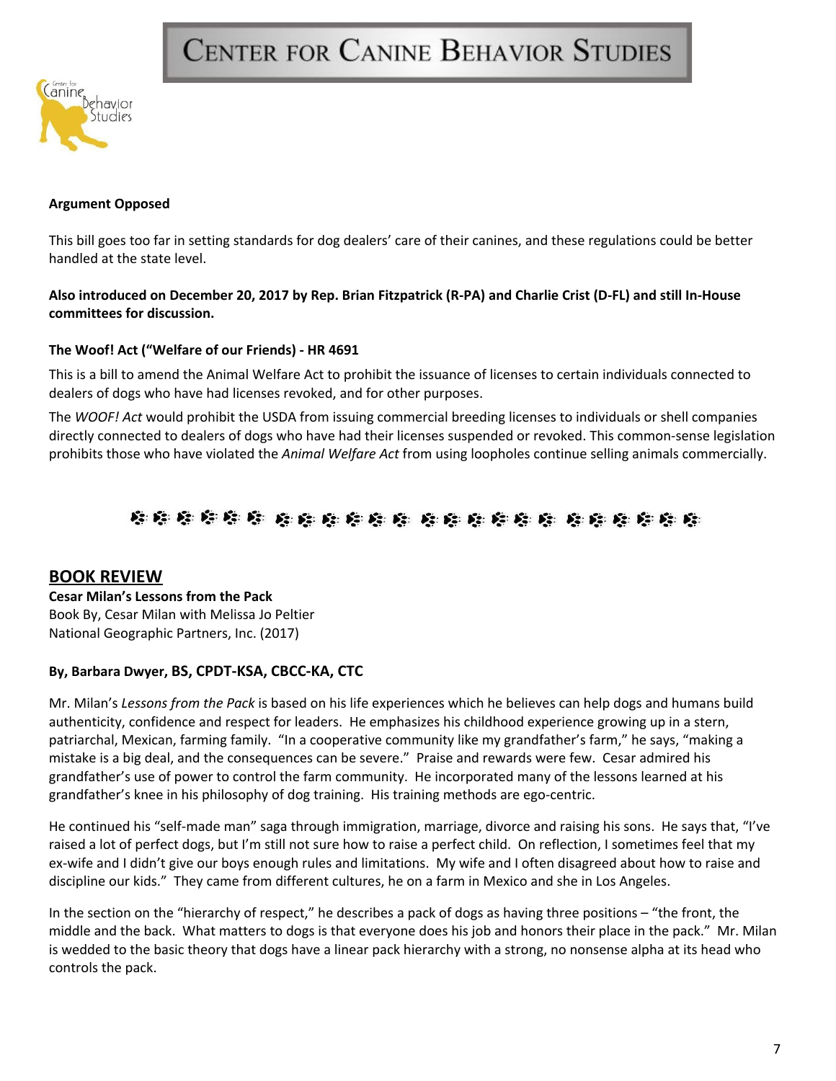

#### **Argument Opposed**

This bill goes too far in setting standards for dog dealers' care of their canines, and these regulations could be better handled at the state level.

#### Also introduced on December 20, 2017 by Rep. Brian Fitzpatrick (R-PA) and Charlie Crist (D-FL) and still In-House **committees for discussion.**

#### **The Woof! Act ("Welfare of our Friends) - HR 4691**

This is a bill to amend the Animal Welfare Act to prohibit the issuance of licenses to certain individuals connected to dealers of dogs who have had licenses revoked, and for other purposes.

The *WOOF! Act* would prohibit the USDA from issuing commercial breeding licenses to individuals or shell companies directly connected to dealers of dogs who have had their licenses suspended or revoked. This common-sense legislation prohibits those who have violated the *Animal Welfare Act* from using loopholes continue selling animals commercially.

### 经经营管理局 医脑膜炎 经总额 医白细胞 医白细胞 医单位骨折

### **BOOK REVIEW**

**Cesar Milan's Lessons from the Pack** Book By, Cesar Milan with Melissa Jo Peltier National Geographic Partners, Inc. (2017)

#### **By, Barbara Dwyer, BS, CPDT-KSA, CBCC-KA, CTC**

Mr. Milan's *Lessons from the Pack* is based on his life experiences which he believes can help dogs and humans build authenticity, confidence and respect for leaders. He emphasizes his childhood experience growing up in a stern, patriarchal, Mexican, farming family. "In a cooperative community like my grandfather's farm," he says, "making a mistake is a big deal, and the consequences can be severe." Praise and rewards were few. Cesar admired his grandfather's use of power to control the farm community. He incorporated many of the lessons learned at his grandfather's knee in his philosophy of dog training. His training methods are ego-centric.

He continued his "self-made man" saga through immigration, marriage, divorce and raising his sons. He says that, "I've raised a lot of perfect dogs, but I'm still not sure how to raise a perfect child. On reflection, I sometimes feel that my ex-wife and I didn't give our boys enough rules and limitations. My wife and I often disagreed about how to raise and discipline our kids." They came from different cultures, he on a farm in Mexico and she in Los Angeles.

In the section on the "hierarchy of respect," he describes a pack of dogs as having three positions – "the front, the middle and the back. What matters to dogs is that everyone does his job and honors their place in the pack." Mr. Milan is wedded to the basic theory that dogs have a linear pack hierarchy with a strong, no nonsense alpha at its head who controls the pack.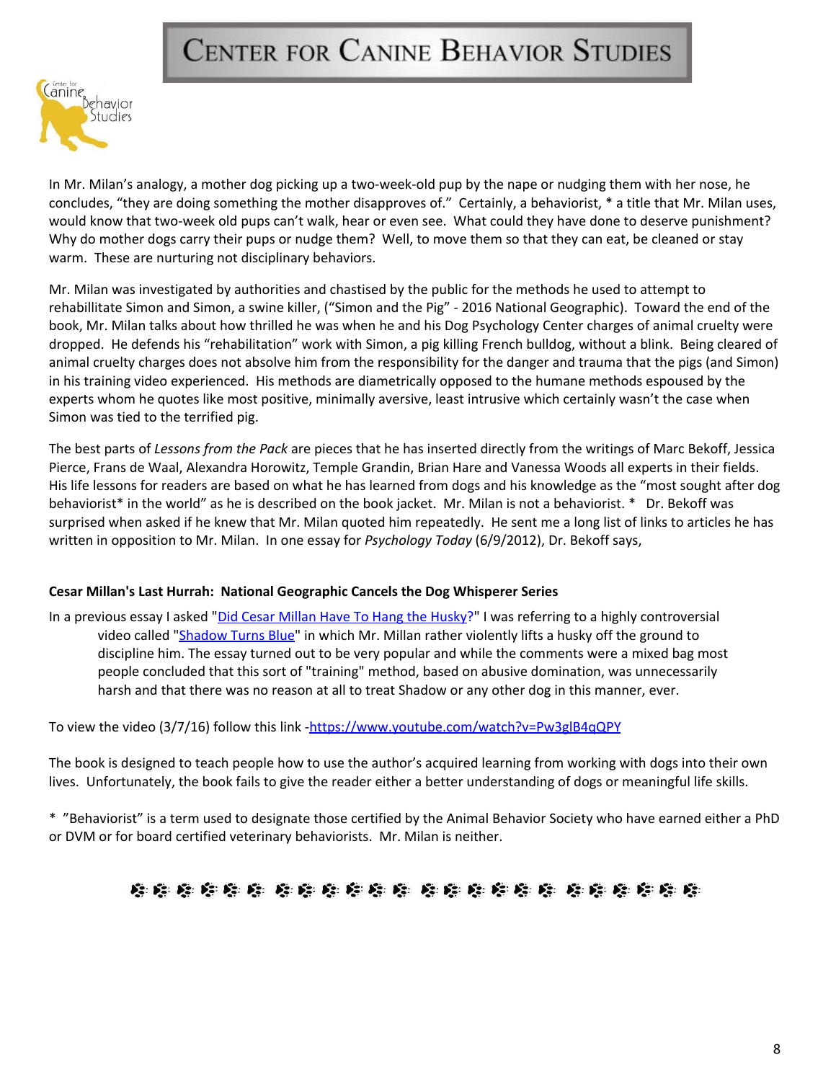

In Mr. Milan's analogy, a mother dog picking up a two-week-old pup by the nape or nudging them with her nose, he concludes, "they are doing something the mother disapproves of." Certainly, a behaviorist, \* a title that Mr. Milan uses, would know that two-week old pups can't walk, hear or even see. What could they have done to deserve punishment? Why do mother dogs carry their pups or nudge them? Well, to move them so that they can eat, be cleaned or stay warm. These are nurturing not disciplinary behaviors.

Mr. Milan was investigated by authorities and chastised by the public for the methods he used to attempt to rehabillitate Simon and Simon, a swine killer, ("Simon and the Pig" - 2016 National Geographic). Toward the end of the book, Mr. Milan talks about how thrilled he was when he and his Dog Psychology Center charges of animal cruelty were dropped. He defends his "rehabilitation" work with Simon, a pig killing French bulldog, without a blink. Being cleared of animal cruelty charges does not absolve him from the responsibility for the danger and trauma that the pigs (and Simon) in his training video experienced. His methods are diametrically opposed to the humane methods espoused by the experts whom he quotes like most positive, minimally aversive, least intrusive which certainly wasn't the case when Simon was tied to the terrified pig.

The best parts of *Lessons from the Pack* are pieces that he has inserted directly from the writings of Marc Bekoff, Jessica Pierce, Frans de Waal, Alexandra Horowitz, Temple Grandin, Brian Hare and Vanessa Woods all experts in their fields. His life lessons for readers are based on what he has learned from dogs and his knowledge as the "most sought after dog behaviorist\* in the world" as he is described on the book jacket. Mr. Milan is not a behaviorist. \* Dr. Bekoff was surprised when asked if he knew that Mr. Milan quoted him repeatedly. He sent me a long list of links to articles he has written in opposition to Mr. Milan. In one essay for *Psychology Today* (6/9/2012), Dr. Bekoff says,

#### **Cesar Millan's Last Hurrah: National Geographic Cancels the Dog Whisperer Series**

In a previous essay I asked "Did Cesar [Millan](https://www.psychologytoday.com/us/blog/animal-emotions/201204/did-cesar-millan-have-hang-the-husky) Have To Hang the Husky?" I was referring to a highly controversial video called ["Shadow](http://www.youtube.com/watch?v=Qh9YOyM2TAk) Turns Blue" in which Mr. Millan rather violently lifts a husky off the ground to [discipline](https://www.psychologytoday.com/us/basics/self-control) him. The essay turned out to be very popular and while the comments were a mixed bag most people concluded that this sort of "training" method, based on abusive domination, was unnecessarily harsh and that there was no reason at all to treat Shadow or any other dog in this manner, ever.

To view the video (3/7/16) follow this link -<https://www.youtube.com/watch?v=Pw3glB4qQPY>

The book is designed to teach people how to use the author's acquired learning from working with dogs into their own lives. Unfortunately, the book fails to give the reader either a better understanding of dogs or meaningful life skills.

\* "Behaviorist" is a term used to designate those certified by the Animal Behavior Society who have earned either a PhD or DVM or for board certified veterinary behaviorists. Mr. Milan is neither.

### 经验经验检验 医白色的 医白色 医白色的 医白色白色的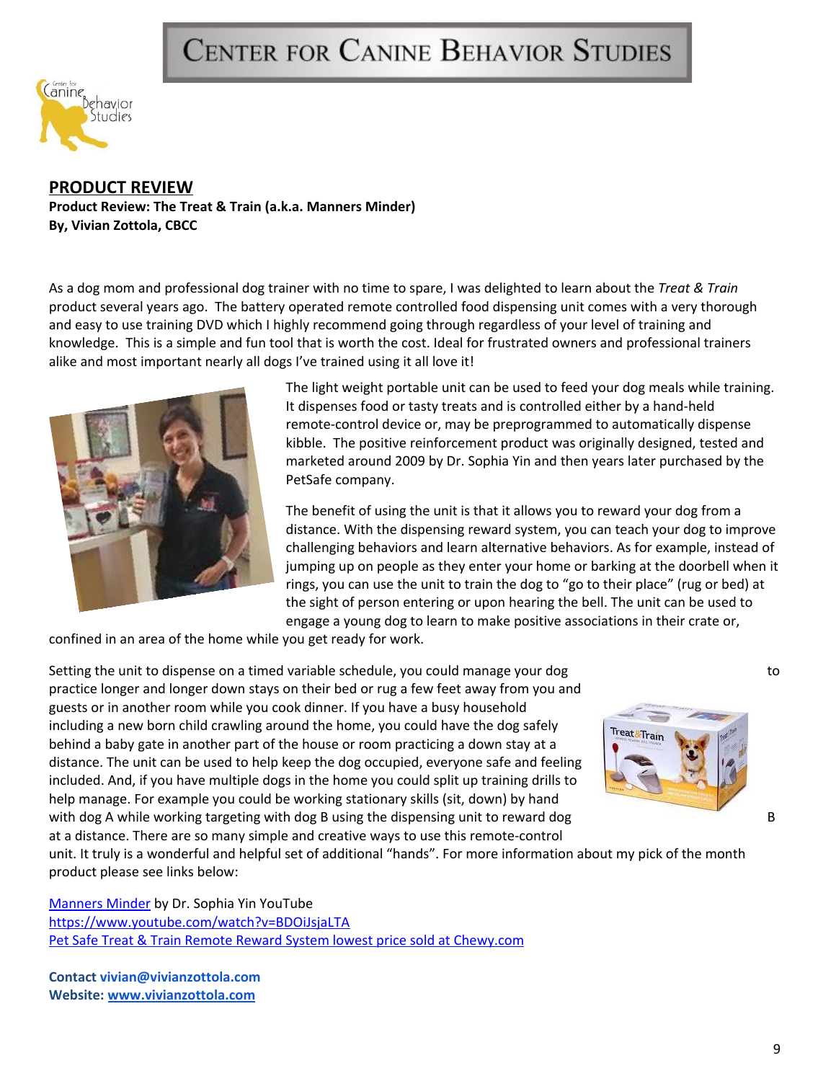

#### **PRODUCT REVIEW**

**Product Review: The Treat & Train (a.k.a. Manners Minder) By, Vivian Zottola, CBCC**

As a dog mom and professional dog trainer with no time to spare, I was delighted to learn about the *Treat & Train* product several years ago. The battery operated remote controlled food dispensing unit comes with a very thorough and easy to use training DVD which I highly recommend going through regardless of your level of training and knowledge. This is a simple and fun tool that is worth the cost. Ideal for frustrated owners and professional trainers alike and most important nearly all dogs I've trained using it all love it!



The light weight portable unit can be used to feed your dog meals while training. It dispenses food or tasty treats and is controlled either by a hand-held remote-control device or, may be preprogrammed to automatically dispense kibble. The positive reinforcement product was originally designed, tested and marketed around 2009 by Dr. Sophia Yin and then years later purchased by the PetSafe company.

The benefit of using the unit is that it allows you to reward your dog from a distance. With the dispensing reward system, you can teach your dog to improve challenging behaviors and learn alternative behaviors. As for example, instead of jumping up on people as they enter your home or barking at the doorbell when it rings, you can use the unit to train the dog to "go to their place" (rug or bed) at the sight of person entering or upon hearing the bell. The unit can be used to engage a young dog to learn to make positive associations in their crate or,

confined in an area of the home while you get ready for work.

Setting the unit to dispense on a timed variable schedule, you could manage your dog to to to practice longer and longer down stays on their bed or rug a few feet away from you and guests or in another room while you cook dinner. If you have a busy household including a new born child crawling around the home, you could have the dog safely behind a baby gate in another part of the house or room practicing a down stay at a distance. The unit can be used to help keep the dog occupied, everyone safe and feeling included. And, if you have multiple dogs in the home you could split up training drills to help manage. For example you could be working stationary skills (sit, down) by hand with dog A while working targeting with dog B using the dispensing unit to reward dog B B at a distance. There are so many simple and creative ways to use this remote-control



unit. It truly is a wonderful and helpful set of additional "hands". For more information about my pick of the month product please see links below:

[Manners](https://www.youtube.com/watch?v=BDOiJsjaLTA) Minder by Dr. Sophia Yin YouTube <https://www.youtube.com/watch?v=BDOiJsjaLTA> Pet Safe Treat & Train Remote Reward System lowest price sold at [Chewy.com](https://www.chewy.com/petsafe-manners-minder-treat-train/dp/55823?utm_source=google-product&utm_medium=cpc&utm_campaign=hg&utm_content=PetSafe&utm_term=&gclid=CjwKCAjwyrvaBRACEiwAcyuzRIoCYqY3bEvNT_9UaKgOZSEb3KNCNXUdfecz2z1N49eWjoMV7IEewxoC-hkQAvD_BwE)

**Contact vivian@vivianzottola.com Website: [www.vivianzottola.com](http://www.vivianzottola.com/)**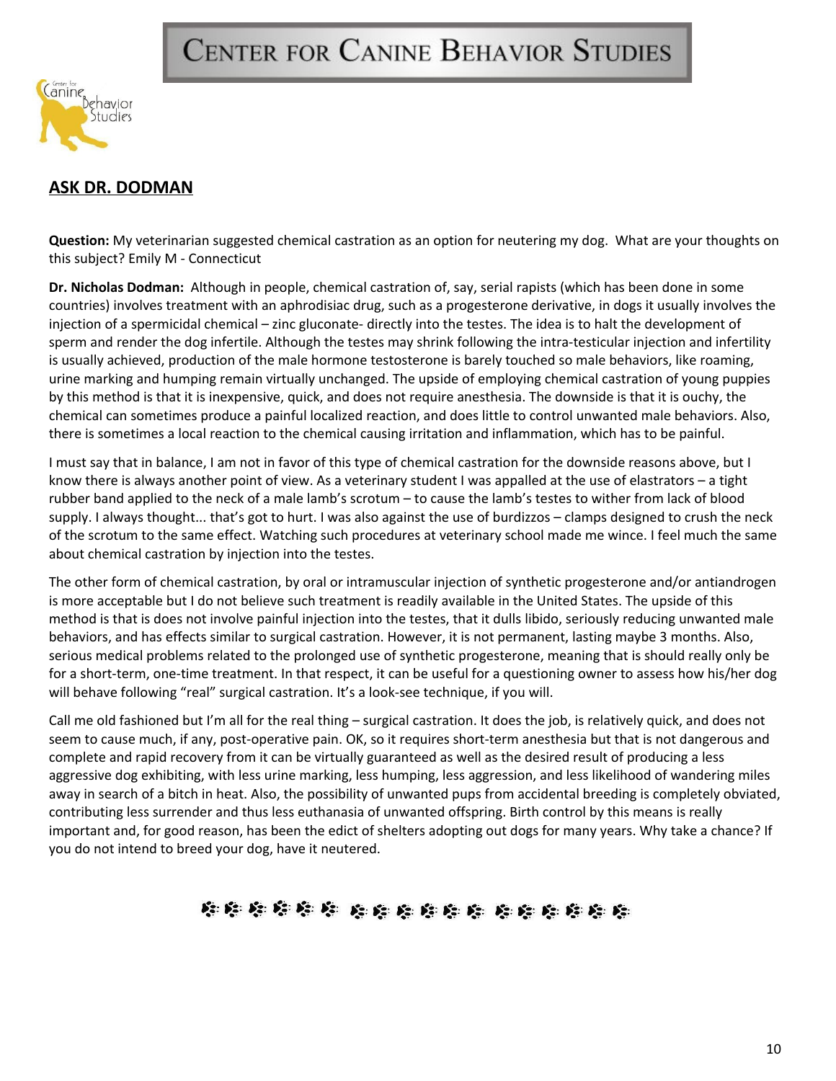

### **ASK DR. DODMAN**

**Question:** My veterinarian suggested chemical castration as an option for neutering my dog. What are your thoughts on this subject? Emily M - Connecticut

**Dr. Nicholas Dodman:** Although in people, chemical castration of, say, serial rapists (which has been done in some countries) involves treatment with an aphrodisiac drug, such as a progesterone derivative, in dogs it usually involves the injection of a spermicidal chemical – zinc gluconate- directly into the testes. The idea is to halt the development of sperm and render the dog infertile. Although the testes may shrink following the intra-testicular injection and infertility is usually achieved, production of the male hormone testosterone is barely touched so male behaviors, like roaming, urine marking and humping remain virtually unchanged. The upside of employing chemical castration of young puppies by this method is that it is inexpensive, quick, and does not require anesthesia. The downside is that it is ouchy, the chemical can sometimes produce a painful localized reaction, and does little to control unwanted male behaviors. Also, there is sometimes a local reaction to the chemical causing irritation and inflammation, which has to be painful.

I must say that in balance, I am not in favor of this type of chemical castration for the downside reasons above, but I know there is always another point of view. As a veterinary student I was appalled at the use of elastrators – a tight rubber band applied to the neck of a male lamb's scrotum – to cause the lamb's testes to wither from lack of blood supply. I always thought... that's got to hurt. I was also against the use of burdizzos – clamps designed to crush the neck of the scrotum to the same effect. Watching such procedures at veterinary school made me wince. I feel much the same about chemical castration by injection into the testes.

The other form of chemical castration, by oral or intramuscular injection of synthetic progesterone and/or antiandrogen is more acceptable but I do not believe such treatment is readily available in the United States. The upside of this method is that is does not involve painful injection into the testes, that it dulls libido, seriously reducing unwanted male behaviors, and has effects similar to surgical castration. However, it is not permanent, lasting maybe 3 months. Also, serious medical problems related to the prolonged use of synthetic progesterone, meaning that is should really only be for a short-term, one-time treatment. In that respect, it can be useful for a questioning owner to assess how his/her dog will behave following "real" surgical castration. It's a look-see technique, if you will.

Call me old fashioned but I'm all for the real thing – surgical castration. It does the job, is relatively quick, and does not seem to cause much, if any, post-operative pain. OK, so it requires short-term anesthesia but that is not dangerous and complete and rapid recovery from it can be virtually guaranteed as well as the desired result of producing a less aggressive dog exhibiting, with less urine marking, less humping, less aggression, and less likelihood of wandering miles away in search of a bitch in heat. Also, the possibility of unwanted pups from accidental breeding is completely obviated, contributing less surrender and thus less euthanasia of unwanted offspring. Birth control by this means is really important and, for good reason, has been the edict of shelters adopting out dogs for many years. Why take a chance? If you do not intend to breed your dog, have it neutered.

### 经经验经经验 经经验经经验 经经验经经验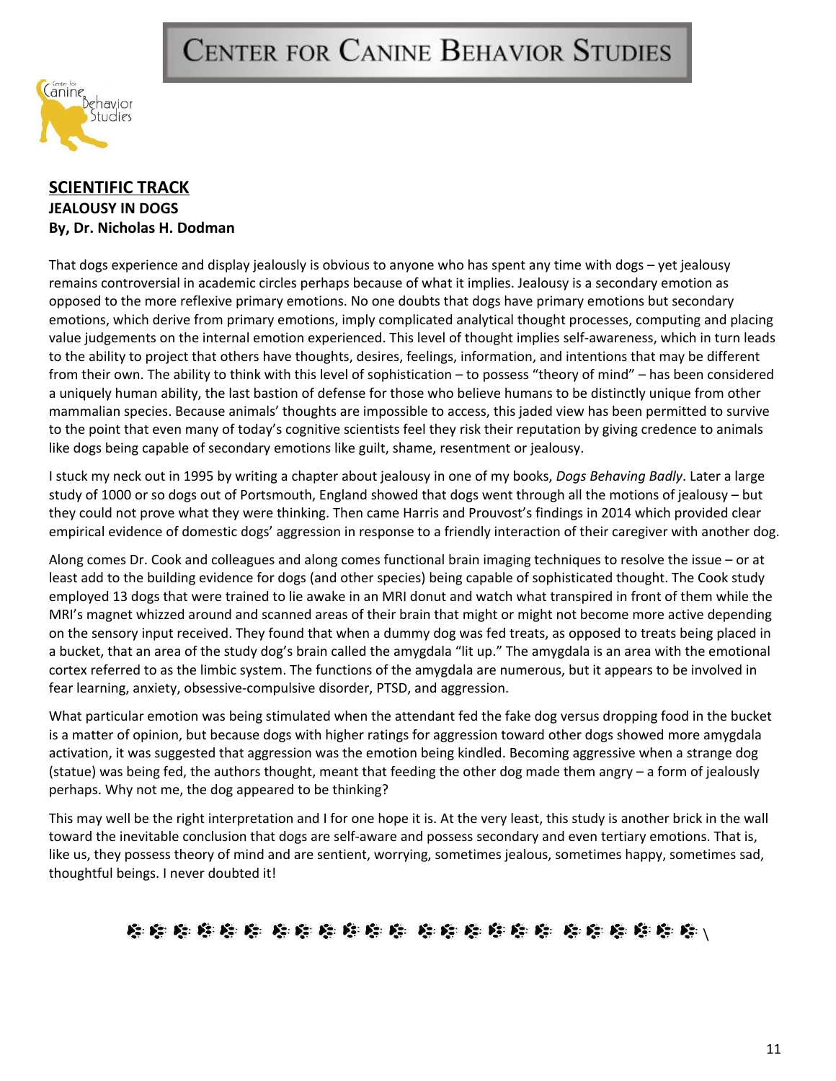

### **SCIENTIFIC TRACK**

**JEALOUSY IN DOGS By, Dr. Nicholas H. Dodman**

That dogs experience and display jealously is obvious to anyone who has spent any time with dogs – yet jealousy remains controversial in academic circles perhaps because of what it implies. Jealousy is a secondary emotion as opposed to the more reflexive primary emotions. No one doubts that dogs have primary emotions but secondary emotions, which derive from primary emotions, imply complicated analytical thought processes, computing and placing value judgements on the internal emotion experienced. This level of thought implies self-awareness, which in turn leads to the ability to project that others have thoughts, desires, feelings, information, and intentions that may be different from their own. The ability to think with this level of sophistication – to possess "theory of mind" – has been considered a uniquely human ability, the last bastion of defense for those who believe humans to be distinctly unique from other mammalian species. Because animals' thoughts are impossible to access, this jaded view has been permitted to survive to the point that even many of today's cognitive scientists feel they risk their reputation by giving credence to animals like dogs being capable of secondary emotions like guilt, shame, resentment or jealousy.

I stuck my neck out in 1995 by writing a chapter about jealousy in one of my books, *Dogs Behaving Badly*. Later a large study of 1000 or so dogs out of Portsmouth, England showed that dogs went through all the motions of jealousy – but they could not prove what they were thinking. Then came Harris and Prouvost's findings in 2014 which provided clear empirical evidence of domestic dogs' aggression in response to a friendly interaction of their caregiver with another dog.

Along comes Dr. Cook and colleagues and along comes functional brain imaging techniques to resolve the issue – or at least add to the building evidence for dogs (and other species) being capable of sophisticated thought. The Cook study employed 13 dogs that were trained to lie awake in an MRI donut and watch what transpired in front of them while the MRI's magnet whizzed around and scanned areas of their brain that might or might not become more active depending on the sensory input received. They found that when a dummy dog was fed treats, as opposed to treats being placed in a bucket, that an area of the study dog's brain called the amygdala "lit up." The amygdala is an area with the emotional cortex referred to as the limbic system. The functions of the amygdala are numerous, but it appears to be involved in fear learning, anxiety, obsessive-compulsive disorder, PTSD, and aggression.

What particular emotion was being stimulated when the attendant fed the fake dog versus dropping food in the bucket is a matter of opinion, but because dogs with higher ratings for aggression toward other dogs showed more amygdala activation, it was suggested that aggression was the emotion being kindled. Becoming aggressive when a strange dog (statue) was being fed, the authors thought, meant that feeding the other dog made them angry – a form of jealously perhaps. Why not me, the dog appeared to be thinking?

This may well be the right interpretation and I for one hope it is. At the very least, this study is another brick in the wall toward the inevitable conclusion that dogs are self-aware and possess secondary and even tertiary emotions. That is, like us, they possess theory of mind and are sentient, worrying, sometimes jealous, sometimes happy, sometimes sad, thoughtful beings. I never doubted it!

### 经经营经济经 经经济经济经济 电电阻电阻 医白色性白色的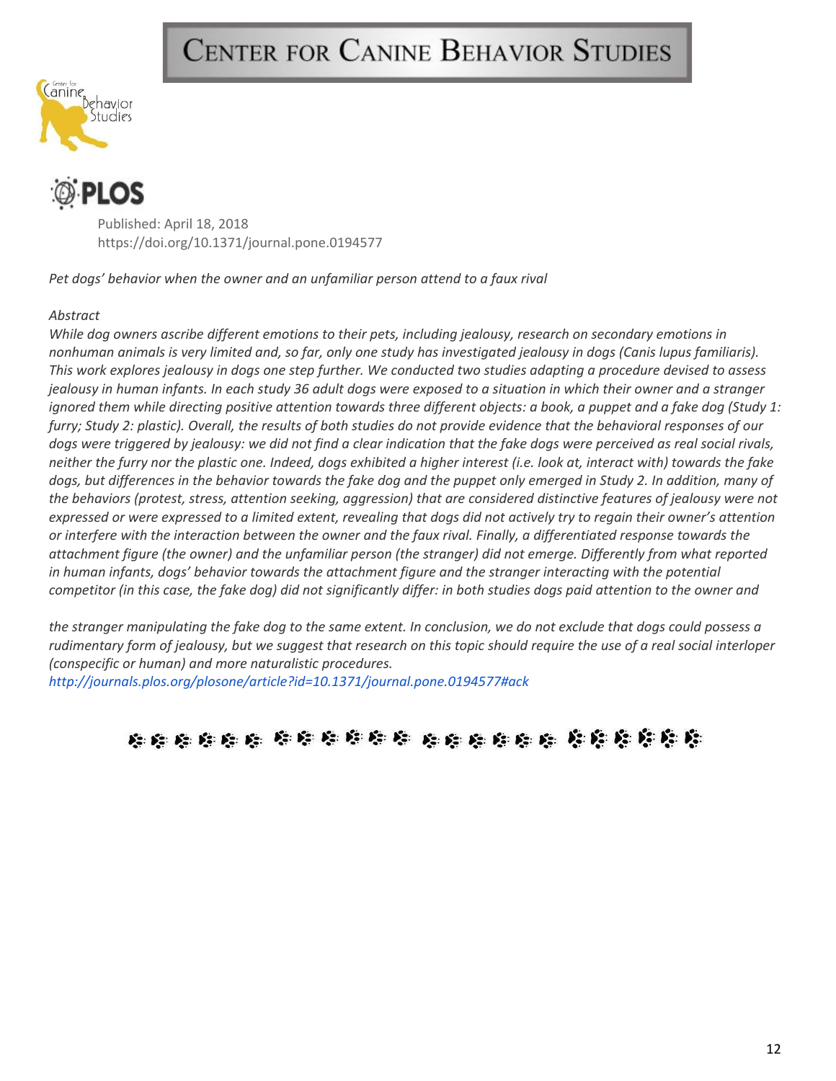



Published: April 18, 2018 <https://doi.org/10.1371/journal.pone.0194577>

*Pet dogs' behavior when the owner and an unfamiliar person attend to a faux rival*

#### *Abstract*

*While dog owners ascribe different emotions to their pets, including jealousy, research on secondary emotions in* nonhuman animals is very limited and, so far, only one study has investigated jealousy in dogs (Canis lupus familiaris). This work explores jealousy in dogs one step further. We conducted two studies adapting a procedure devised to assess jealousy in human infants. In each study 36 adult dogs were exposed to a situation in which their owner and a stranger ignored them while directing positive attention towards three different objects: a book, a puppet and a fake dog (Study 1: furry; Study 2: plastic). Overall, the results of both studies do not provide evidence that the behavioral responses of our dogs were triggered by jealousy: we did not find a clear indication that the fake dogs were perceived as real social rivals, neither the furry nor the plastic one. Indeed, dogs exhibited a higher interest (i.e. look at, interact with) towards the fake dogs, but differences in the behavior towards the fake dog and the puppet only emerged in Study 2. In addition, many of the behaviors (protest, stress, attention seeking, aggression) that are considered distinctive features of jealousy were not expressed or were expressed to a limited extent, revealing that dogs did not actively try to regain their owner's attention or interfere with the interaction between the owner and the faux rival. Finally, a differentiated response towards the attachment figure (the owner) and the unfamiliar person (the stranger) did not emerge. Differently from what reported *in human infants, dogs' behavior towards the attachment figure and the stranger interacting with the potential* competitor (in this case, the fake dog) did not significantly differ: in both studies dogs paid attention to the owner and

the stranger manipulating the fake dog to the same extent. In conclusion, we do not exclude that dogs could possess a rudimentary form of jealousy, but we suggest that research on this topic should require the use of a real social interloper *(conspecific or human) and more naturalistic procedures.*

*<http://journals.plos.org/plosone/article?id=10.1371/journal.pone.0194577#ack>*

### 经经验经验经 医经验检尿道 医白色性脑炎 医白色性白色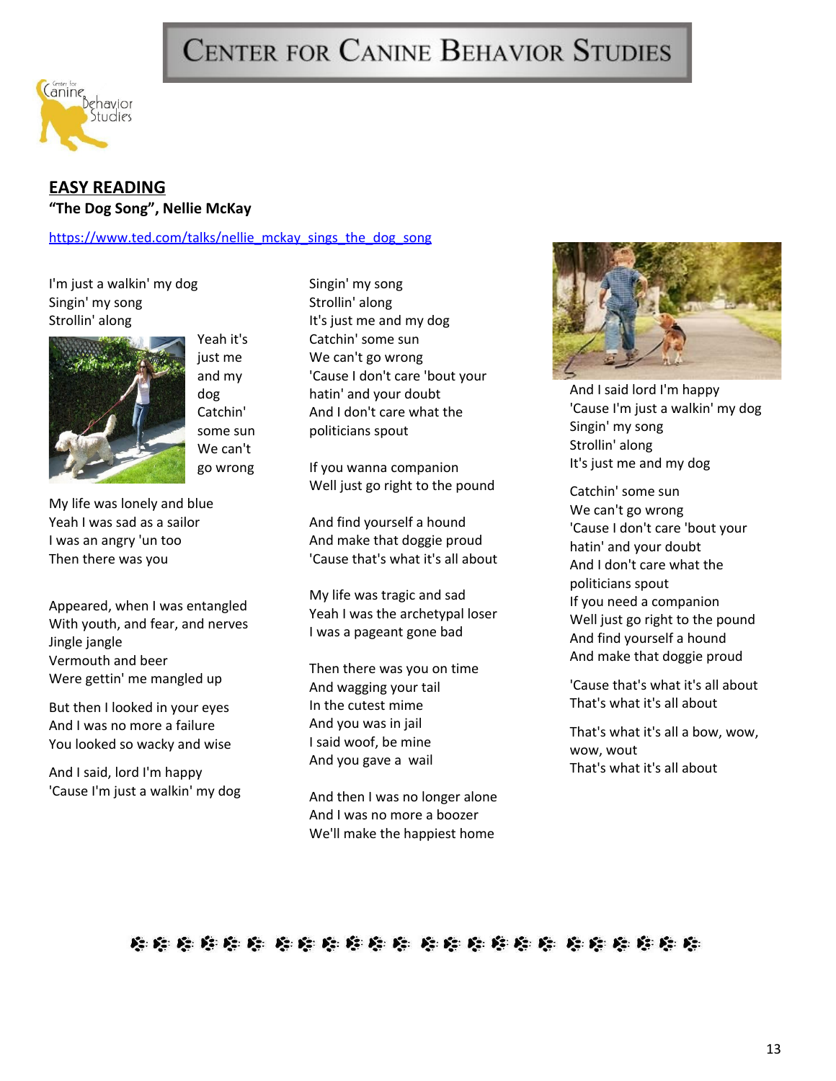

#### **EASY READING "The Dog Song", Nellie McKay**

[https://www.ted.com/talks/nellie\\_mckay\\_sings\\_the\\_dog\\_song](https://www.ted.com/talks/nellie_mckay_sings_the_dog_song)

I'm just a walkin' my dog Singin' my song Strollin' along



Yeah it's just me and my dog Catchin' some sun We can't go wrong

My life was lonely and blue Yeah I was sad as a sailor I was an angry 'un too Then there was you

Appeared, when I was entangled With youth, and fear, and nerves Jingle jangle Vermouth and beer Were gettin' me mangled up

But then I looked in your eyes And I was no more a failure You looked so wacky and wise

And I said, lord I'm happy 'Cause I'm just a walkin' my dog Singin' my song Strollin' along It's just me and my dog Catchin' some sun We can't go wrong 'Cause I don't care 'bout your hatin' and your doubt And I don't care what the politicians spout

If you wanna companion Well just go right to the pound

And find yourself a hound And make that doggie proud 'Cause that's what it's all about

My life was tragic and sad Yeah I was the archetypal loser I was a pageant gone bad

Then there was you on time And wagging your tail In the cutest mime And you was in jail I said woof, be mine And you gave a wail

And then I was no longer alone And I was no more a boozer We'll make the happiest home



And I said lord I'm happy 'Cause I'm just a walkin' my dog Singin' my song Strollin' along It's just me and my dog

Catchin' some sun We can't go wrong 'Cause I don't care 'bout your hatin' and your doubt And I don't care what the politicians spout If you need a companion Well just go right to the pound And find yourself a hound And make that doggie proud

'Cause that's what it's all about That's what it's all about

That's what it's all a bow, wow, wow, wout That's what it's all about

经验经验检验 医白色的 医白色 医白色性白色 医白色的 医单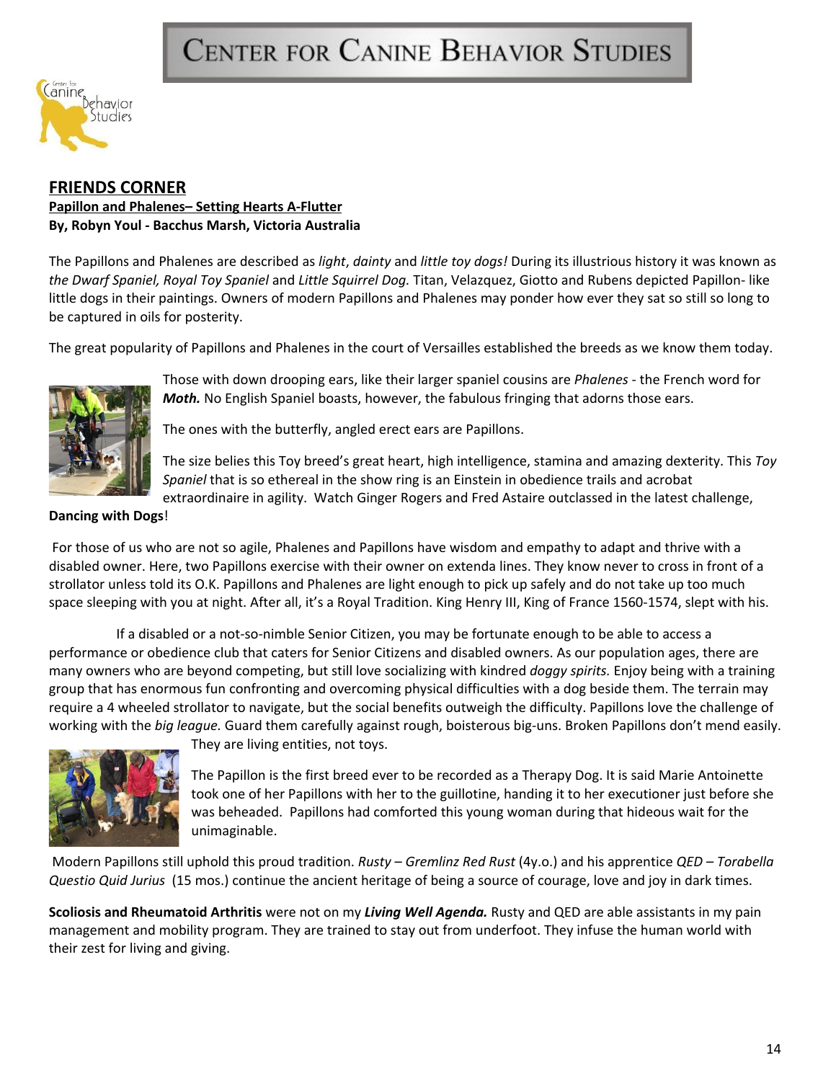

### **FRIENDS CORNER**

#### **Papillon and Phalenes– Setting Hearts A-Flutter By, Robyn Youl - Bacchus Marsh, Victoria Australia**

The Papillons and Phalenes are described as *light*, *dainty* and *little toy dogs!* During its illustrious history it was known as *the Dwarf Spaniel, Royal Toy Spaniel* and *Little Squirrel Dog.* Titan, Velazquez, Giotto and Rubens depicted Papillon- like little dogs in their paintings. Owners of modern Papillons and Phalenes may ponder how ever they sat so still so long to be captured in oils for posterity.

The great popularity of Papillons and Phalenes in the court of Versailles established the breeds as we know them today.



Those with down drooping ears, like their larger spaniel cousins are *Phalenes* - the French word for *Moth.* No English Spaniel boasts, however, the fabulous fringing that adorns those ears.

The ones with the butterfly, angled erect ears are Papillons.

The size belies this Toy breed's great heart, high intelligence, stamina and amazing dexterity. This *Toy Spaniel* that is so ethereal in the show ring is an Einstein in obedience trails and acrobat

extraordinaire in agility. Watch Ginger Rogers and Fred Astaire outclassed in the latest challenge,

#### **Dancing with Dogs**!

For those of us who are not so agile, Phalenes and Papillons have wisdom and empathy to adapt and thrive with a disabled owner. Here, two Papillons exercise with their owner on extenda lines. They know never to cross in front of a strollator unless told its O.K. Papillons and Phalenes are light enough to pick up safely and do not take up too much space sleeping with you at night. After all, it's a Royal Tradition. King Henry III, King of France 1560-1574, slept with his.

If a disabled or a not-so-nimble Senior Citizen, you may be fortunate enough to be able to access a performance or obedience club that caters for Senior Citizens and disabled owners. As our population ages, there are many owners who are beyond competing, but still love socializing with kindred *doggy spirits.* Enjoy being with a training group that has enormous fun confronting and overcoming physical difficulties with a dog beside them. The terrain may require a 4 wheeled strollator to navigate, but the social benefits outweigh the difficulty. Papillons love the challenge of working with the *big league.* Guard them carefully against rough, boisterous big-uns. Broken Papillons don't mend easily.



They are living entities, not toys.

The Papillon is the first breed ever to be recorded as a Therapy Dog. It is said Marie Antoinette took one of her Papillons with her to the guillotine, handing it to her executioner just before she was beheaded. Papillons had comforted this young woman during that hideous wait for the unimaginable.

Modern Papillons still uphold this proud tradition. *Rusty* – *Gremlinz Red Rust* (4y.o.) and his apprentice *QED – Torabella Questio Quid Jurius* (15 mos.) continue the ancient heritage of being a source of courage, love and joy in dark times.

**Scoliosis and Rheumatoid Arthritis** were not on my *Living Well Agenda.* Rusty and QED are able assistants in my pain management and mobility program. They are trained to stay out from underfoot. They infuse the human world with their zest for living and giving.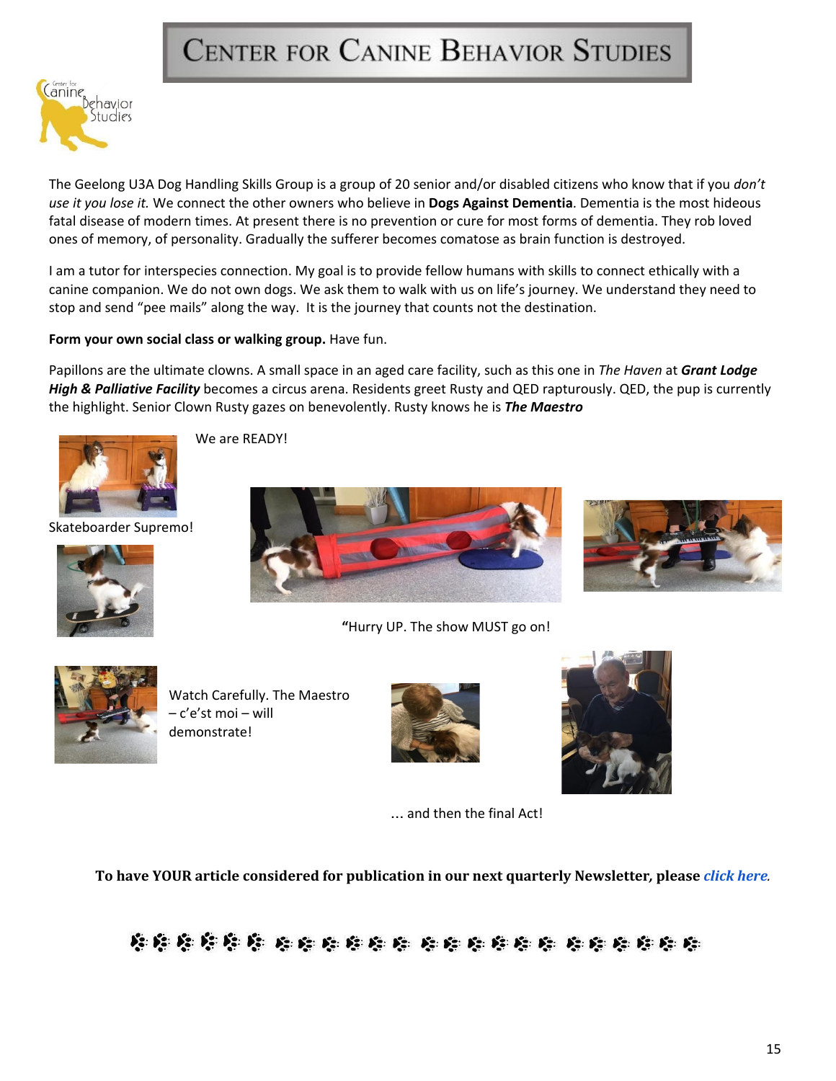

The Geelong U3A Dog Handling Skills Group is a group of 20 senior and/or disabled citizens who know that if you *don't use it you lose it.* We connect the other owners who believe in **Dogs Against Dementia**. Dementia is the most hideous fatal disease of modern times. At present there is no prevention or cure for most forms of dementia. They rob loved ones of memory, of personality. Gradually the sufferer becomes comatose as brain function is destroyed.

I am a tutor for interspecies connection. My goal is to provide fellow humans with skills to connect ethically with a canine companion. We do not own dogs. We ask them to walk with us on life's journey. We understand they need to stop and send "pee mails" along the way. It is the journey that counts not the destination.

**Form your own social class or walking group.** Have fun.

Papillons are the ultimate clowns. A small space in an aged care facility, such as this one in *The Haven* at *Grant Lodge High & Palliative Facility* becomes a circus arena. Residents greet Rusty and QED rapturously. QED, the pup is currently the highlight. Senior Clown Rusty gazes on benevolently. Rusty knows he is *The Maestro*



We are READY!



**"**Hurry UP. The show MUST go on!



Watch Carefully. The Maestro – c'e'st moi – will demonstrate!





… and then the final Act!

**To have YOUR article considered for publication in our next quarterly Newsletter***,* **please** *click here.*

医唇唇骨骨唇 医白细胞白细胞 经经济经济经济 经经济经济经济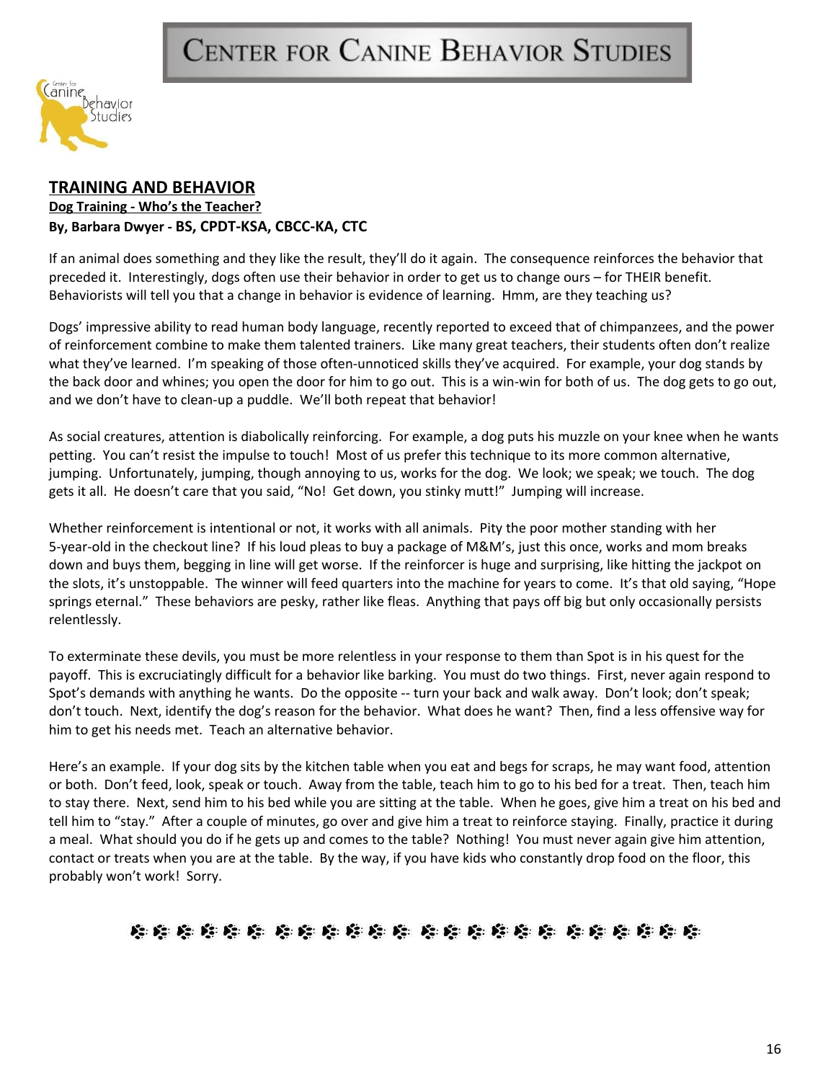

### **TRAINING AND BEHAVIOR**

#### **Dog Training - Who's the Teacher? By, Barbara Dwyer - BS, CPDT-KSA, CBCC-KA, CTC**

If an animal does something and they like the result, they'll do it again. The consequence reinforces the behavior that preceded it. Interestingly, dogs often use their behavior in order to get us to change ours – for THEIR benefit. Behaviorists will tell you that a change in behavior is evidence of learning. Hmm, are they teaching us?

Dogs' impressive ability to read human body language, recently reported to exceed that of chimpanzees, and the power of reinforcement combine to make them talented trainers. Like many great teachers, their students often don't realize what they've learned. I'm speaking of those often-unnoticed skills they've acquired. For example, your dog stands by the back door and whines; you open the door for him to go out. This is a win-win for both of us. The dog gets to go out, and we don't have to clean-up a puddle. We'll both repeat that behavior!

As social creatures, attention is diabolically reinforcing. For example, a dog puts his muzzle on your knee when he wants petting. You can't resist the impulse to touch! Most of us prefer this technique to its more common alternative, jumping. Unfortunately, jumping, though annoying to us, works for the dog. We look; we speak; we touch. The dog gets it all. He doesn't care that you said, "No! Get down, you stinky mutt!" Jumping will increase.

Whether reinforcement is intentional or not, it works with all animals. Pity the poor mother standing with her 5-year-old in the checkout line? If his loud pleas to buy a package of M&M's, just this once, works and mom breaks down and buys them, begging in line will get worse. If the reinforcer is huge and surprising, like hitting the jackpot on the slots, it's unstoppable. The winner will feed quarters into the machine for years to come. It's that old saying, "Hope springs eternal." These behaviors are pesky, rather like fleas. Anything that pays off big but only occasionally persists relentlessly.

To exterminate these devils, you must be more relentless in your response to them than Spot is in his quest for the payoff. This is excruciatingly difficult for a behavior like barking. You must do two things. First, never again respond to Spot's demands with anything he wants. Do the opposite -- turn your back and walk away. Don't look; don't speak; don't touch. Next, identify the dog's reason for the behavior. What does he want? Then, find a less offensive way for him to get his needs met. Teach an alternative behavior.

Here's an example. If your dog sits by the kitchen table when you eat and begs for scraps, he may want food, attention or both. Don't feed, look, speak or touch. Away from the table, teach him to go to his bed for a treat. Then, teach him to stay there. Next, send him to his bed while you are sitting at the table. When he goes, give him a treat on his bed and tell him to "stay." After a couple of minutes, go over and give him a treat to reinforce staying. Finally, practice it during a meal. What should you do if he gets up and comes to the table? Nothing! You must never again give him attention, contact or treats when you are at the table. By the way, if you have kids who constantly drop food on the floor, this probably won't work! Sorry.

### 经验经验检验 医白色的 医白色 医白色的 医白色的 医原质